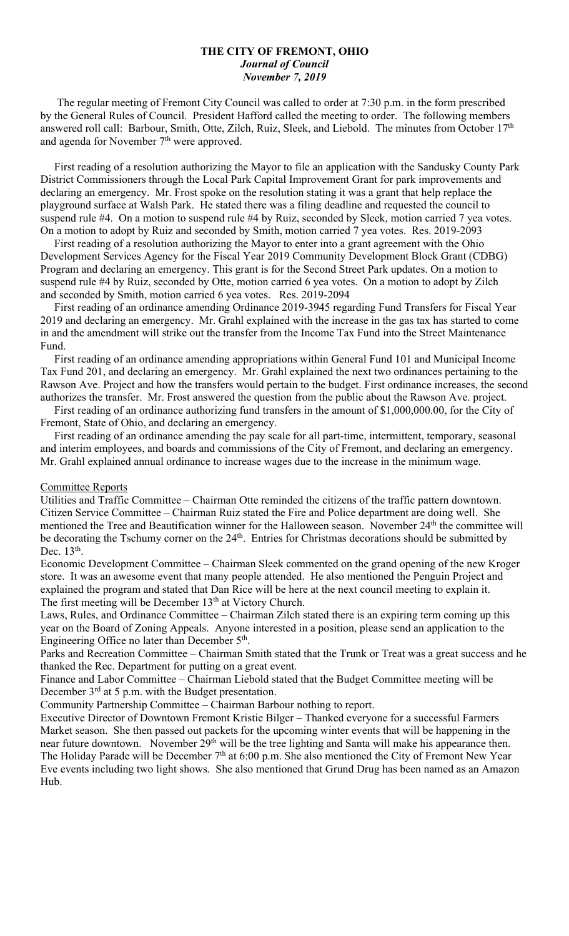#### **THE CITY OF FREMONT, OHIO** *Journal of Council November 7, 2019*

 The regular meeting of Fremont City Council was called to order at 7:30 p.m. in the form prescribed by the General Rules of Council. President Hafford called the meeting to order. The following members answered roll call: Barbour, Smith, Otte, Zilch, Ruiz, Sleek, and Liebold. The minutes from October 17<sup>th</sup> and agenda for November  $7<sup>th</sup>$  were approved.

 First reading of a resolution authorizing the Mayor to file an application with the Sandusky County Park District Commissioners through the Local Park Capital Improvement Grant for park improvements and declaring an emergency. Mr. Frost spoke on the resolution stating it was a grant that help replace the playground surface at Walsh Park. He stated there was a filing deadline and requested the council to suspend rule #4. On a motion to suspend rule #4 by Ruiz, seconded by Sleek, motion carried 7 yea votes. On a motion to adopt by Ruiz and seconded by Smith, motion carried 7 yea votes. Res. 2019-2093

 First reading of a resolution authorizing the Mayor to enter into a grant agreement with the Ohio Development Services Agency for the Fiscal Year 2019 Community Development Block Grant (CDBG) Program and declaring an emergency. This grant is for the Second Street Park updates. On a motion to suspend rule #4 by Ruiz, seconded by Otte, motion carried 6 yea votes. On a motion to adopt by Zilch and seconded by Smith, motion carried 6 yea votes. Res. 2019-2094

 First reading of an ordinance amending Ordinance 2019-3945 regarding Fund Transfers for Fiscal Year 2019 and declaring an emergency. Mr. Grahl explained with the increase in the gas tax has started to come in and the amendment will strike out the transfer from the Income Tax Fund into the Street Maintenance Fund.

 First reading of an ordinance amending appropriations within General Fund 101 and Municipal Income Tax Fund 201, and declaring an emergency. Mr. Grahl explained the next two ordinances pertaining to the Rawson Ave. Project and how the transfers would pertain to the budget. First ordinance increases, the second authorizes the transfer. Mr. Frost answered the question from the public about the Rawson Ave. project.

 First reading of an ordinance authorizing fund transfers in the amount of \$1,000,000.00, for the City of Fremont, State of Ohio, and declaring an emergency.

 First reading of an ordinance amending the pay scale for all part-time, intermittent, temporary, seasonal and interim employees, and boards and commissions of the City of Fremont, and declaring an emergency. Mr. Grahl explained annual ordinance to increase wages due to the increase in the minimum wage.

#### Committee Reports

Utilities and Traffic Committee – Chairman Otte reminded the citizens of the traffic pattern downtown. Citizen Service Committee – Chairman Ruiz stated the Fire and Police department are doing well. She mentioned the Tree and Beautification winner for the Halloween season. November 24<sup>th</sup> the committee will be decorating the Tschumy corner on the 24<sup>th</sup>. Entries for Christmas decorations should be submitted by Dec. 13<sup>th</sup>.

Economic Development Committee – Chairman Sleek commented on the grand opening of the new Kroger store. It was an awesome event that many people attended. He also mentioned the Penguin Project and explained the program and stated that Dan Rice will be here at the next council meeting to explain it. The first meeting will be December 13<sup>th</sup> at Victory Church.

Laws, Rules, and Ordinance Committee – Chairman Zilch stated there is an expiring term coming up this year on the Board of Zoning Appeals. Anyone interested in a position, please send an application to the Engineering Office no later than December 5<sup>th</sup>.

Parks and Recreation Committee – Chairman Smith stated that the Trunk or Treat was a great success and he thanked the Rec. Department for putting on a great event.

Finance and Labor Committee – Chairman Liebold stated that the Budget Committee meeting will be December 3<sup>rd</sup> at 5 p.m. with the Budget presentation.

Community Partnership Committee – Chairman Barbour nothing to report.

Executive Director of Downtown Fremont Kristie Bilger – Thanked everyone for a successful Farmers Market season. She then passed out packets for the upcoming winter events that will be happening in the near future downtown. November 29<sup>th</sup> will be the tree lighting and Santa will make his appearance then. The Holiday Parade will be December 7<sup>th</sup> at 6:00 p.m. She also mentioned the City of Fremont New Year Eve events including two light shows. She also mentioned that Grund Drug has been named as an Amazon Hub.